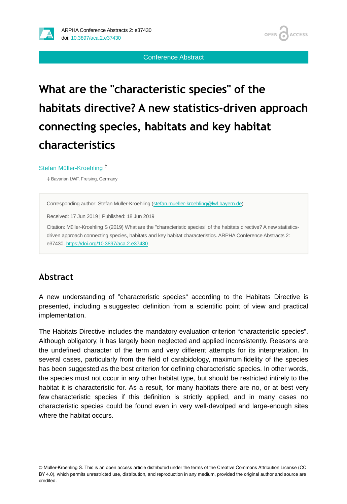

Conference Abstract

# **What are the "characteristic species" of the habitats directive? A new statistics-driven approach connecting species, habitats and key habitat characteristics**

#### Stefan Müller-Kroehling ‡

‡ Bavarian LWF, Freising, Germany

Corresponding author: Stefan Müller-Kroehling ([stefan.mueller-kroehling@lwf.bayern.de\)](mailto:stefan.mueller-kroehling@lwf.bayern.de)

Received: 17 Jun 2019 | Published: 18 Jun 2019

Citation: Müller-Kroehling S (2019) What are the "characteristic species" of the habitats directive? A new statisticsdriven approach connecting species, habitats and key habitat characteristics. ARPHA Conference Abstracts 2: e37430.<https://doi.org/10.3897/aca.2.e37430>

## **Abstract**

A new understanding of "characteristic species" according to the Habitats Directive is presented, including a suggested definition from a scientific point of view and practical implementation.

The Habitats Directive includes the mandatory evaluation criterion "characteristic species". Although obligatory, it has largely been neglected and applied inconsistently. Reasons are the undefined character of the term and very different attempts for its interpretation. In several cases, particularly from the field of carabidology, maximum fidelity of the species has been suggested as the best criterion for defining characteristic species. In other words, the species must not occur in any other habitat type, but should be restricted intirely to the habitat it is characteristic for. As a result, for many habitats there are no, or at best very few characteristic species if this definition is strictly applied, and in many cases no characteristic species could be found even in very well-devolped and large-enough sites where the habitat occurs.

© Müller-Kroehling S. This is an open access article distributed under the terms of the Creative Commons Attribution License (CC BY 4.0), which permits unrestricted use, distribution, and reproduction in any medium, provided the original author and source are credited.